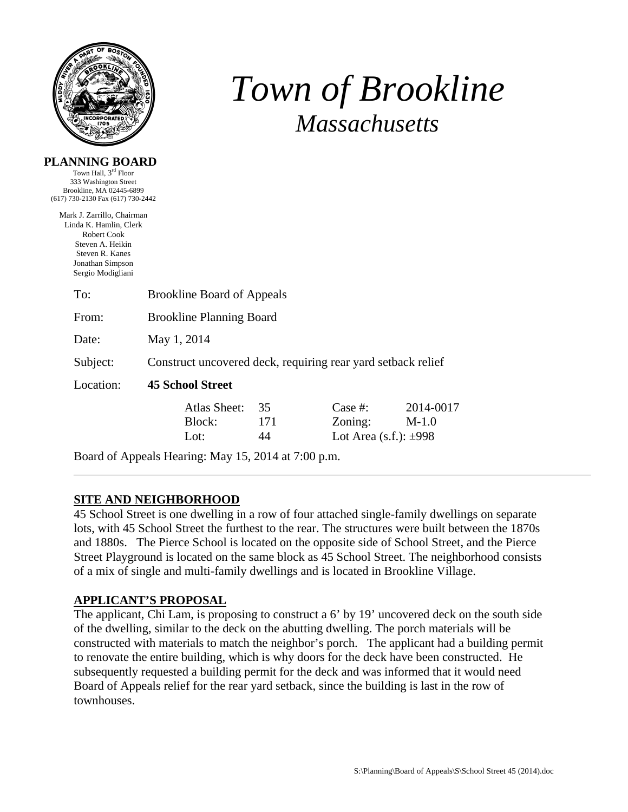

**PLANNING BOARD**  Town Hall, 3rd Floor

# *Town of Brookline Massachusetts*

| 333 Washington Street<br>Brookline, MA 02445-6899<br>(617) 730-2130 Fax (617) 730-2442                                                              |                                                              |                 |                                                     |                      |  |  |
|-----------------------------------------------------------------------------------------------------------------------------------------------------|--------------------------------------------------------------|-----------------|-----------------------------------------------------|----------------------|--|--|
| Mark J. Zarrillo, Chairman<br>Linda K. Hamlin, Clerk<br>Robert Cook<br>Steven A. Heikin<br>Steven R. Kanes<br>Jonathan Simpson<br>Sergio Modigliani |                                                              |                 |                                                     |                      |  |  |
| To:                                                                                                                                                 | <b>Brookline Board of Appeals</b>                            |                 |                                                     |                      |  |  |
| From:                                                                                                                                               | <b>Brookline Planning Board</b>                              |                 |                                                     |                      |  |  |
| Date:                                                                                                                                               | May 1, 2014                                                  |                 |                                                     |                      |  |  |
| Subject:                                                                                                                                            | Construct uncovered deck, requiring rear yard setback relief |                 |                                                     |                      |  |  |
| Location:                                                                                                                                           | <b>45 School Street</b>                                      |                 |                                                     |                      |  |  |
|                                                                                                                                                     | Atlas Sheet:<br>Block:<br>Lot:                               | 35<br>171<br>44 | Case #:<br>Zoning:<br>Lot Area $(s.f.)$ : $\pm 998$ | 2014-0017<br>$M-1.0$ |  |  |

Board of Appeals Hearing: May 15, 2014 at 7:00 p.m.

### **SITE AND NEIGHBORHOOD**

45 School Street is one dwelling in a row of four attached single-family dwellings on separate lots, with 45 School Street the furthest to the rear. The structures were built between the 1870s and 1880s. The Pierce School is located on the opposite side of School Street, and the Pierce Street Playground is located on the same block as 45 School Street. The neighborhood consists of a mix of single and multi-family dwellings and is located in Brookline Village.

### **APPLICANT'S PROPOSAL**

The applicant, Chi Lam, is proposing to construct a 6' by 19' uncovered deck on the south side of the dwelling, similar to the deck on the abutting dwelling. The porch materials will be constructed with materials to match the neighbor's porch. The applicant had a building permit to renovate the entire building, which is why doors for the deck have been constructed. He subsequently requested a building permit for the deck and was informed that it would need Board of Appeals relief for the rear yard setback, since the building is last in the row of townhouses.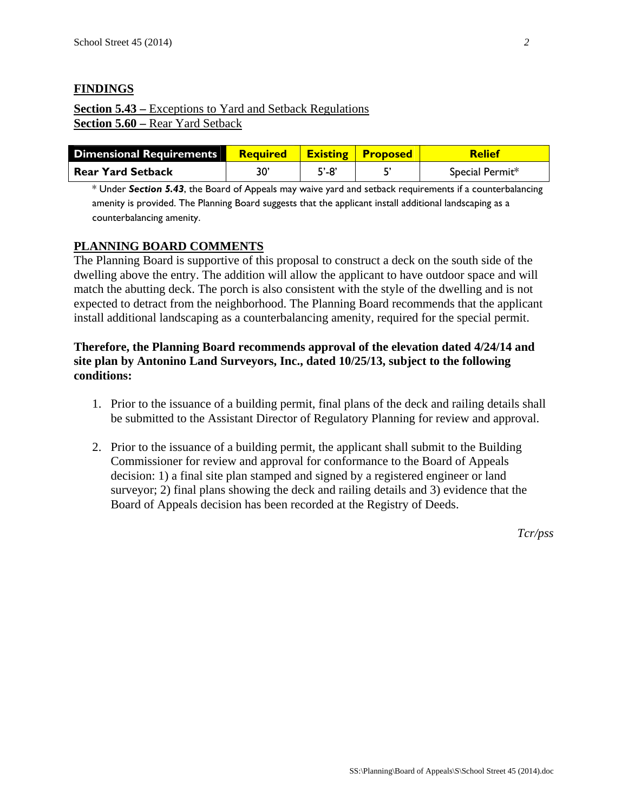## **FINDINGS**

## **Section 5.43 –** Exceptions to Yard and Setback Regulations **Section 5.60 –** Rear Yard Setback

| Dimensional Requirements | <b>Required Existing Proposed</b> |           | <b>Relief</b>   |
|--------------------------|-----------------------------------|-----------|-----------------|
| <b>Rear Yard Setback</b> | 30'                               | $5' - 8'$ | Special Permit* |

\* Under *Section 5.43*, the Board of Appeals may waive yard and setback requirements if a counterbalancing amenity is provided. The Planning Board suggests that the applicant install additional landscaping as a counterbalancing amenity.

#### **PLANNING BOARD COMMENTS**

The Planning Board is supportive of this proposal to construct a deck on the south side of the dwelling above the entry. The addition will allow the applicant to have outdoor space and will match the abutting deck. The porch is also consistent with the style of the dwelling and is not expected to detract from the neighborhood. The Planning Board recommends that the applicant install additional landscaping as a counterbalancing amenity, required for the special permit.

### **Therefore, the Planning Board recommends approval of the elevation dated 4/24/14 and site plan by Antonino Land Surveyors, Inc., dated 10/25/13, subject to the following conditions:**

- 1. Prior to the issuance of a building permit, final plans of the deck and railing details shall be submitted to the Assistant Director of Regulatory Planning for review and approval.
- 2. Prior to the issuance of a building permit, the applicant shall submit to the Building Commissioner for review and approval for conformance to the Board of Appeals decision: 1) a final site plan stamped and signed by a registered engineer or land surveyor; 2) final plans showing the deck and railing details and 3) evidence that the Board of Appeals decision has been recorded at the Registry of Deeds.

*Tcr/pss*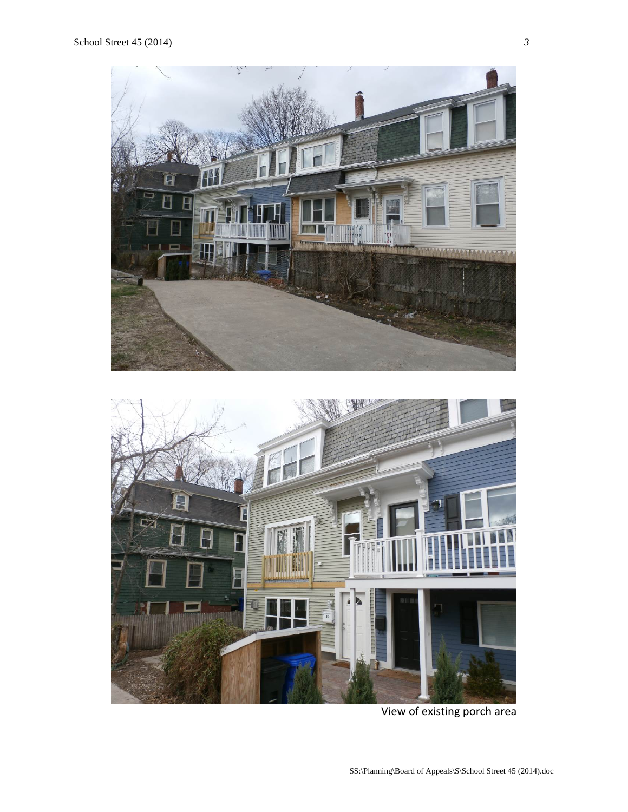

View of existing porch area